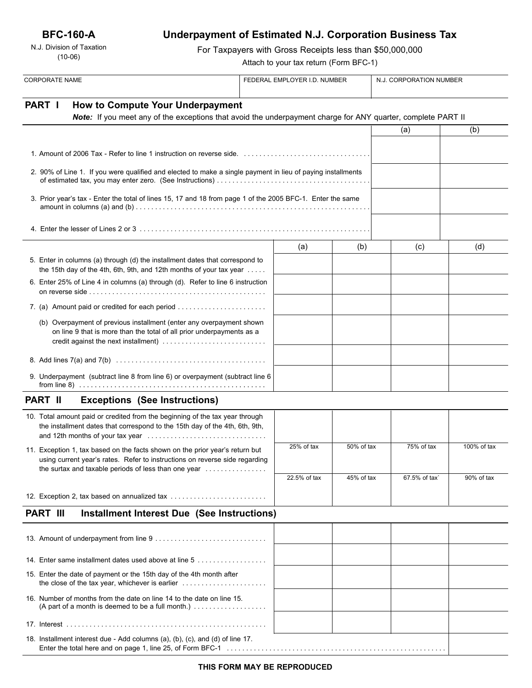**BFC-160-A**

N.J. Division of Taxation (10-06)

# **Underpayment of Estimated N.J. Corporation Business Tax**

For Taxpayers with Gross Receipts less than \$50,000,000

Attach to your tax return (Form BFC-1)

| <b>CORPORATE NAME</b>                                                                                                                                                                                               |  | FEDERAL EMPLOYER I.D. NUMBER |            | N.J. CORPORATION NUMBER |             |
|---------------------------------------------------------------------------------------------------------------------------------------------------------------------------------------------------------------------|--|------------------------------|------------|-------------------------|-------------|
| PART I<br>How to Compute Your Underpayment<br>Note: If you meet any of the exceptions that avoid the underpayment charge for ANY quarter, complete PART II                                                          |  |                              |            |                         |             |
|                                                                                                                                                                                                                     |  |                              | (a)        | (b)                     |             |
|                                                                                                                                                                                                                     |  |                              |            |                         |             |
| 2. 90% of Line 1. If you were qualified and elected to make a single payment in lieu of paying installments                                                                                                         |  |                              |            |                         |             |
| 3. Prior year's tax - Enter the total of lines 15, 17 and 18 from page 1 of the 2005 BFC-1. Enter the same                                                                                                          |  |                              |            |                         |             |
|                                                                                                                                                                                                                     |  |                              |            |                         |             |
|                                                                                                                                                                                                                     |  | (a)                          | (b)        | (c)                     | (d)         |
| 5. Enter in columns (a) through (d) the installment dates that correspond to<br>the 15th day of the 4th, 6th, 9th, and 12th months of your tax year                                                                 |  |                              |            |                         |             |
| 6. Enter 25% of Line 4 in columns (a) through (d). Refer to line 6 instruction                                                                                                                                      |  |                              |            |                         |             |
| 7. (a) Amount paid or credited for each period                                                                                                                                                                      |  |                              |            |                         |             |
| (b) Overpayment of previous installment (enter any overpayment shown<br>on line 9 that is more than the total of all prior underpayments as a                                                                       |  |                              |            |                         |             |
|                                                                                                                                                                                                                     |  |                              |            |                         |             |
| 9. Underpayment (subtract line 8 from line 6) or overpayment (subtract line 6                                                                                                                                       |  |                              |            |                         |             |
| PART II<br><b>Exceptions (See Instructions)</b>                                                                                                                                                                     |  |                              |            |                         |             |
| 10. Total amount paid or credited from the beginning of the tax year through<br>the installment dates that correspond to the 15th day of the 4th, 6th, 9th,                                                         |  |                              |            |                         |             |
| 11. Exception 1, tax based on the facts shown on the prior year's return but<br>using current year's rates. Refer to instructions on reverse side regarding<br>the surtax and taxable periods of less than one year |  | $25%$ of tax                 | 50% of tax | 75% of tax              | 100% of tax |
|                                                                                                                                                                                                                     |  | 22.5% of tax                 | 45% of tax | 67.5% of tax`           | 90% of tax  |
| 12. Exception 2, tax based on annualized tax                                                                                                                                                                        |  |                              |            |                         |             |
| <b>PART III</b><br><b>Installment Interest Due (See Instructions)</b>                                                                                                                                               |  |                              |            |                         |             |
|                                                                                                                                                                                                                     |  |                              |            |                         |             |
| 14. Enter same installment dates used above at line 5                                                                                                                                                               |  |                              |            |                         |             |
| 15. Enter the date of payment or the 15th day of the 4th month after<br>the close of the tax year, whichever is earlier $\ldots \ldots \ldots \ldots \ldots \ldots$                                                 |  |                              |            |                         |             |
| 16. Number of months from the date on line 14 to the date on line 15.<br>(A part of a month is deemed to be a full month.) $\ldots$                                                                                 |  |                              |            |                         |             |
|                                                                                                                                                                                                                     |  |                              |            |                         |             |

18. Installment interest due - Add columns (a), (b), (c), and (d) of line 17. Enter the total here and on page 1, line 25, of Form BFC-1 . . . . . . . . . . . . . . . . . . . . . . . . . . . . . . . . . . . . . . . . . . . . . . . . . . . . . . . . .